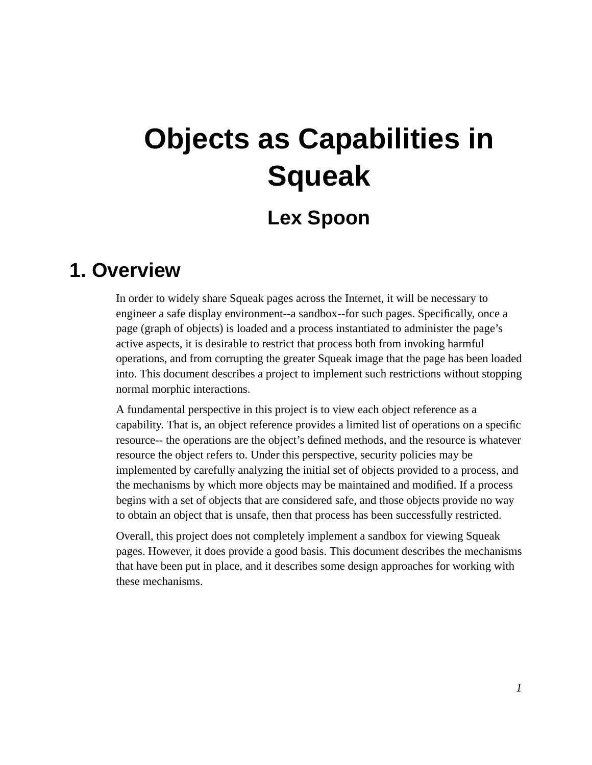# **Objects as Capabilities in Squeak**

## **Lex Spoon**

## **1. Overview**

In order to widely share Squeak pages across the Internet, it will be necessary to engineer a safe display environment--a sandbox--for such pages. Specifically, once a page (graph of objects) is loaded and a process instantiated to administer the page's active aspects, it is desirable to restrict that process both from invoking harmful operations, and from corrupting the greater Squeak image that the page has been loaded into. This document describes a project to implement such restrictions without stopping normal morphic interactions.

A fundamental perspective in this project is to view each object reference as a capability. That is, an object reference provides a limited list of operations on a specific resource-- the operations are the object's defined methods, and the resource is whatever resource the object refers to. Under this perspective, security policies may be implemented by carefully analyzing the initial set of objects provided to a process, and the mechanisms by which more objects may be maintained and modified. If a process begins with a set of objects that are considered safe, and those objects provide no way to obtain an object that is unsafe, then that process has been successfully restricted.

Overall, this project does not completely implement a sandbox for viewing Squeak pages. However, it does provide a good basis. This document describes the mechanisms that have been put in place, and it describes some design approaches for working with these mechanisms.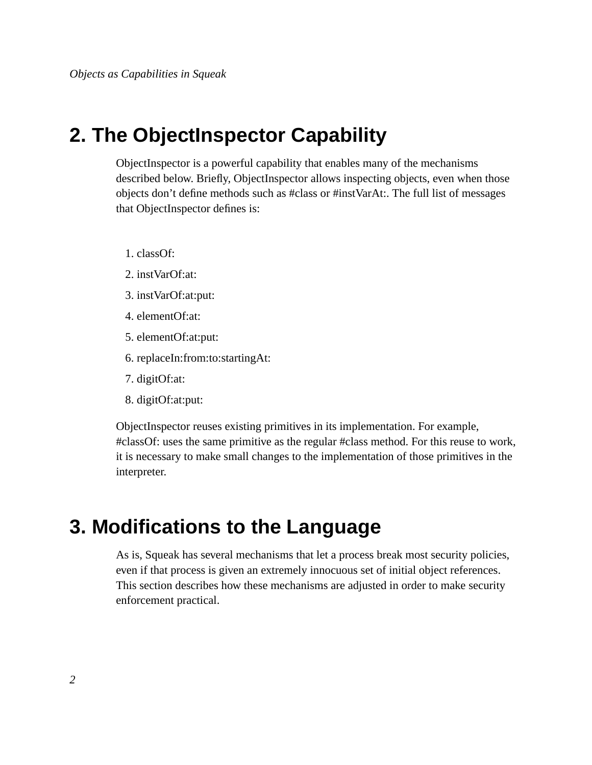## **2. The ObjectInspector Capability**

ObjectInspector is a powerful capability that enables many of the mechanisms described below. Briefly, ObjectInspector allows inspecting objects, even when those objects don't define methods such as #class or #instVarAt:. The full list of messages that ObjectInspector defines is:

- 1. classOf:
- 2. instVarOf:at:
- 3. instVarOf:at:put:
- 4. elementOf:at:
- 5. elementOf:at:put:
- 6. replaceIn:from:to:startingAt:
- 7. digitOf:at:
- 8. digitOf:at:put:

ObjectInspector reuses existing primitives in its implementation. For example, #classOf: uses the same primitive as the regular #class method. For this reuse to work, it is necessary to make small changes to the implementation of those primitives in the interpreter.

## **3. Modifications to the Language**

As is, Squeak has several mechanisms that let a process break most security policies, even if that process is given an extremely innocuous set of initial object references. This section describes how these mechanisms are adjusted in order to make security enforcement practical.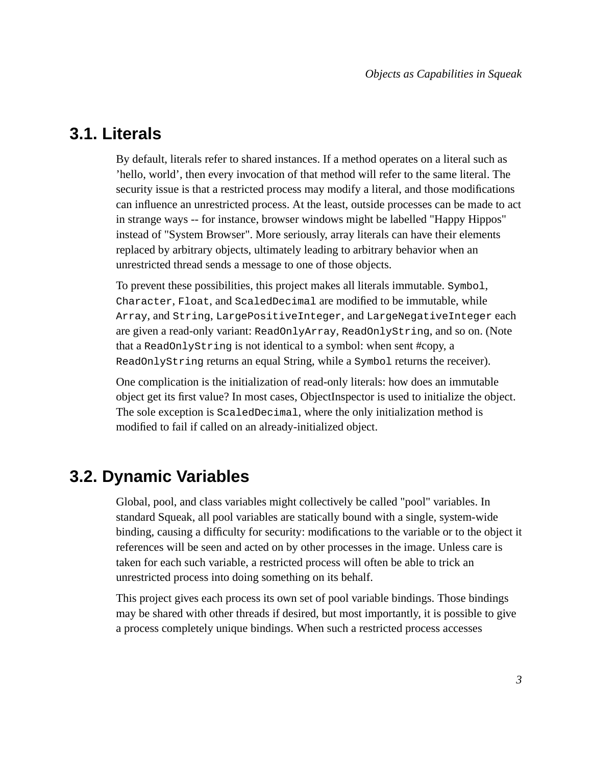#### **3.1. Literals**

By default, literals refer to shared instances. If a method operates on a literal such as 'hello, world', then every invocation of that method will refer to the same literal. The security issue is that a restricted process may modify a literal, and those modifications can influence an unrestricted process. At the least, outside processes can be made to act in strange ways -- for instance, browser windows might be labelled "Happy Hippos" instead of "System Browser". More seriously, array literals can have their elements replaced by arbitrary objects, ultimately leading to arbitrary behavior when an unrestricted thread sends a message to one of those objects.

To prevent these possibilities, this project makes all literals immutable. Symbol, Character, Float, and ScaledDecimal are modified to be immutable, while Array, and String, LargePositiveInteger, and LargeNegativeInteger each are given a read-only variant: ReadOnlyArray, ReadOnlyString, and so on. (Note that a ReadOnlyString is not identical to a symbol: when sent #copy, a ReadOnlyString returns an equal String, while a Symbol returns the receiver).

One complication is the initialization of read-only literals: how does an immutable object get its first value? In most cases, ObjectInspector is used to initialize the object. The sole exception is ScaledDecimal, where the only initialization method is modified to fail if called on an already-initialized object.

#### **3.2. Dynamic Variables**

Global, pool, and class variables might collectively be called "pool" variables. In standard Squeak, all pool variables are statically bound with a single, system-wide binding, causing a difficulty for security: modifications to the variable or to the object it references will be seen and acted on by other processes in the image. Unless care is taken for each such variable, a restricted process will often be able to trick an unrestricted process into doing something on its behalf.

This project gives each process its own set of pool variable bindings. Those bindings may be shared with other threads if desired, but most importantly, it is possible to give a process completely unique bindings. When such a restricted process accesses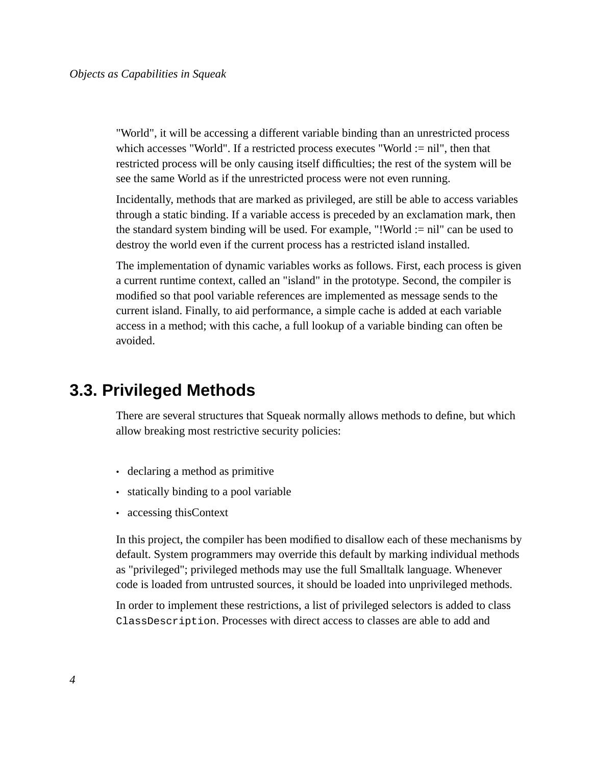"World", it will be accessing a different variable binding than an unrestricted process which accesses "World". If a restricted process executes "World := nil", then that restricted process will be only causing itself difficulties; the rest of the system will be see the same World as if the unrestricted process were not even running.

Incidentally, methods that are marked as privileged, are still be able to access variables through a static binding. If a variable access is preceded by an exclamation mark, then the standard system binding will be used. For example, "!World := nil" can be used to destroy the world even if the current process has a restricted island installed.

The implementation of dynamic variables works as follows. First, each process is given a current runtime context, called an "island" in the prototype. Second, the compiler is modified so that pool variable references are implemented as message sends to the current island. Finally, to aid performance, a simple cache is added at each variable access in a method; with this cache, a full lookup of a variable binding can often be avoided.

#### **3.3. Privileged Methods**

There are several structures that Squeak normally allows methods to define, but which allow breaking most restrictive security policies:

- declaring a method as primitive
- statically binding to a pool variable
- accessing thisContext

In this project, the compiler has been modified to disallow each of these mechanisms by default. System programmers may override this default by marking individual methods as "privileged"; privileged methods may use the full Smalltalk language. Whenever code is loaded from untrusted sources, it should be loaded into unprivileged methods.

In order to implement these restrictions, a list of privileged selectors is added to class ClassDescription. Processes with direct access to classes are able to add and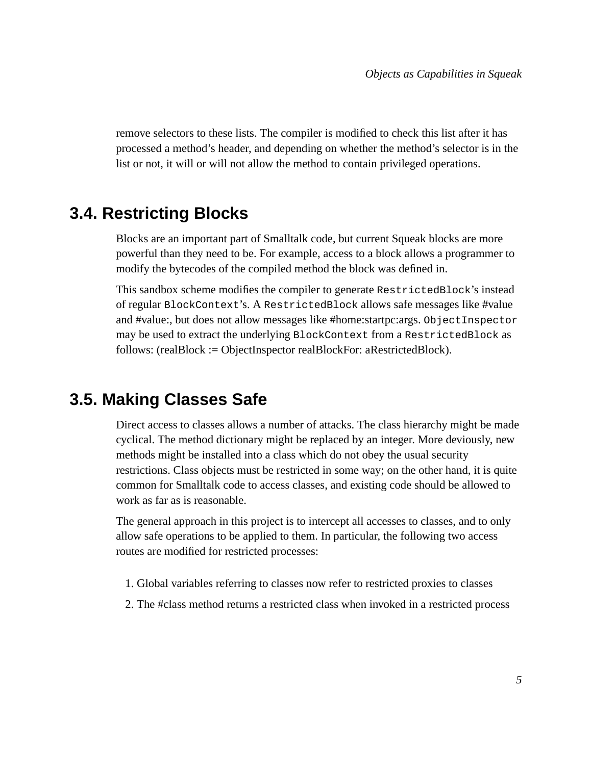remove selectors to these lists. The compiler is modified to check this list after it has processed a method's header, and depending on whether the method's selector is in the list or not, it will or will not allow the method to contain privileged operations.

#### **3.4. Restricting Blocks**

Blocks are an important part of Smalltalk code, but current Squeak blocks are more powerful than they need to be. For example, access to a block allows a programmer to modify the bytecodes of the compiled method the block was defined in.

This sandbox scheme modifies the compiler to generate RestrictedBlock's instead of regular BlockContext's. A RestrictedBlock allows safe messages like #value and #value:, but does not allow messages like #home:startpc:args. ObjectInspector may be used to extract the underlying BlockContext from a RestrictedBlock as follows: (realBlock := ObjectInspector realBlockFor: aRestrictedBlock).

#### **3.5. Making Classes Safe**

Direct access to classes allows a number of attacks. The class hierarchy might be made cyclical. The method dictionary might be replaced by an integer. More deviously, new methods might be installed into a class which do not obey the usual security restrictions. Class objects must be restricted in some way; on the other hand, it is quite common for Smalltalk code to access classes, and existing code should be allowed to work as far as is reasonable.

The general approach in this project is to intercept all accesses to classes, and to only allow safe operations to be applied to them. In particular, the following two access routes are modified for restricted processes:

- 1. Global variables referring to classes now refer to restricted proxies to classes
- 2. The #class method returns a restricted class when invoked in a restricted process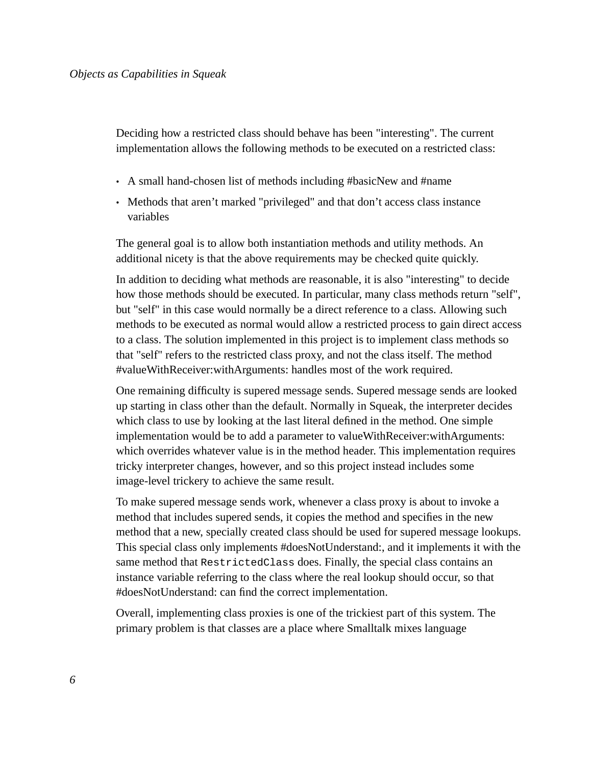Deciding how a restricted class should behave has been "interesting". The current implementation allows the following methods to be executed on a restricted class:

- A small hand-chosen list of methods including #basicNew and #name
- Methods that aren't marked "privileged" and that don't access class instance variables

The general goal is to allow both instantiation methods and utility methods. An additional nicety is that the above requirements may be checked quite quickly.

In addition to deciding what methods are reasonable, it is also "interesting" to decide how those methods should be executed. In particular, many class methods return "self", but "self" in this case would normally be a direct reference to a class. Allowing such methods to be executed as normal would allow a restricted process to gain direct access to a class. The solution implemented in this project is to implement class methods so that "self" refers to the restricted class proxy, and not the class itself. The method #valueWithReceiver:withArguments: handles most of the work required.

One remaining difficulty is supered message sends. Supered message sends are looked up starting in class other than the default. Normally in Squeak, the interpreter decides which class to use by looking at the last literal defined in the method. One simple implementation would be to add a parameter to valueWithReceiver:withArguments: which overrides whatever value is in the method header. This implementation requires tricky interpreter changes, however, and so this project instead includes some image-level trickery to achieve the same result.

To make supered message sends work, whenever a class proxy is about to invoke a method that includes supered sends, it copies the method and specifies in the new method that a new, specially created class should be used for supered message lookups. This special class only implements #doesNotUnderstand:, and it implements it with the same method that RestrictedClass does. Finally, the special class contains an instance variable referring to the class where the real lookup should occur, so that #doesNotUnderstand: can find the correct implementation.

Overall, implementing class proxies is one of the trickiest part of this system. The primary problem is that classes are a place where Smalltalk mixes language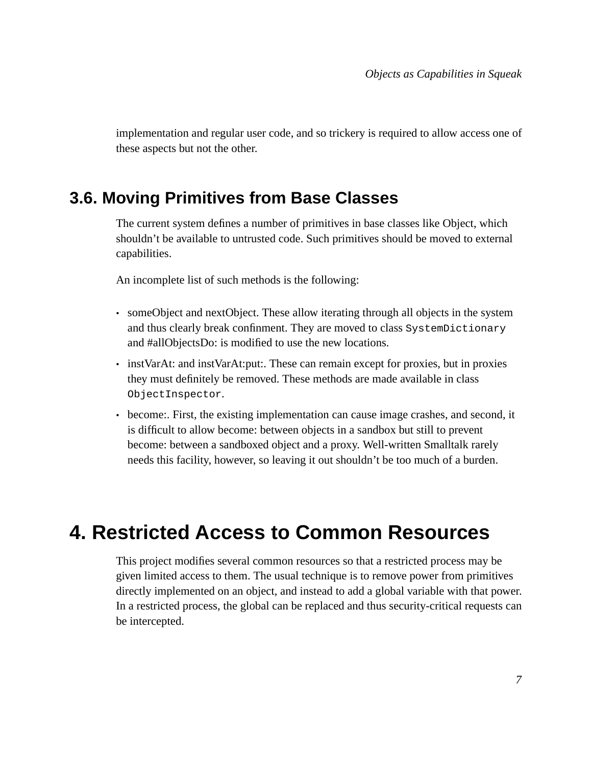implementation and regular user code, and so trickery is required to allow access one of these aspects but not the other.

#### **3.6. Moving Primitives from Base Classes**

The current system defines a number of primitives in base classes like Object, which shouldn't be available to untrusted code. Such primitives should be moved to external capabilities.

An incomplete list of such methods is the following:

- someObject and nextObject. These allow iterating through all objects in the system and thus clearly break confinment. They are moved to class SystemDictionary and #allObjectsDo: is modified to use the new locations.
- instVarAt: and instVarAt: put:. These can remain except for proxies, but in proxies they must definitely be removed. These methods are made available in class ObjectInspector.
- become:. First, the existing implementation can cause image crashes, and second, it is difficult to allow become: between objects in a sandbox but still to prevent become: between a sandboxed object and a proxy. Well-written Smalltalk rarely needs this facility, however, so leaving it out shouldn't be too much of a burden.

## **4. Restricted Access to Common Resources**

This project modifies several common resources so that a restricted process may be given limited access to them. The usual technique is to remove power from primitives directly implemented on an object, and instead to add a global variable with that power. In a restricted process, the global can be replaced and thus security-critical requests can be intercepted.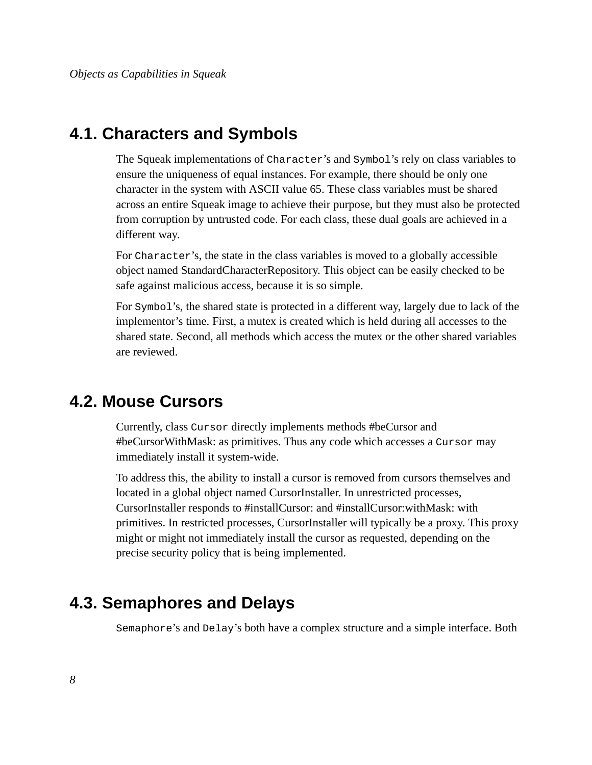#### **4.1. Characters and Symbols**

The Squeak implementations of Character's and Symbol's rely on class variables to ensure the uniqueness of equal instances. For example, there should be only one character in the system with ASCII value 65. These class variables must be shared across an entire Squeak image to achieve their purpose, but they must also be protected from corruption by untrusted code. For each class, these dual goals are achieved in a different way.

For Character's, the state in the class variables is moved to a globally accessible object named StandardCharacterRepository. This object can be easily checked to be safe against malicious access, because it is so simple.

For Symbol's, the shared state is protected in a different way, largely due to lack of the implementor's time. First, a mutex is created which is held during all accesses to the shared state. Second, all methods which access the mutex or the other shared variables are reviewed.

#### **4.2. Mouse Cursors**

Currently, class Cursor directly implements methods #beCursor and #beCursorWithMask: as primitives. Thus any code which accesses a Cursor may immediately install it system-wide.

To address this, the ability to install a cursor is removed from cursors themselves and located in a global object named CursorInstaller. In unrestricted processes, CursorInstaller responds to #installCursor: and #installCursor:withMask: with primitives. In restricted processes, CursorInstaller will typically be a proxy. This proxy might or might not immediately install the cursor as requested, depending on the precise security policy that is being implemented.

#### **4.3. Semaphores and Delays**

Semaphore's and Delay's both have a complex structure and a simple interface. Both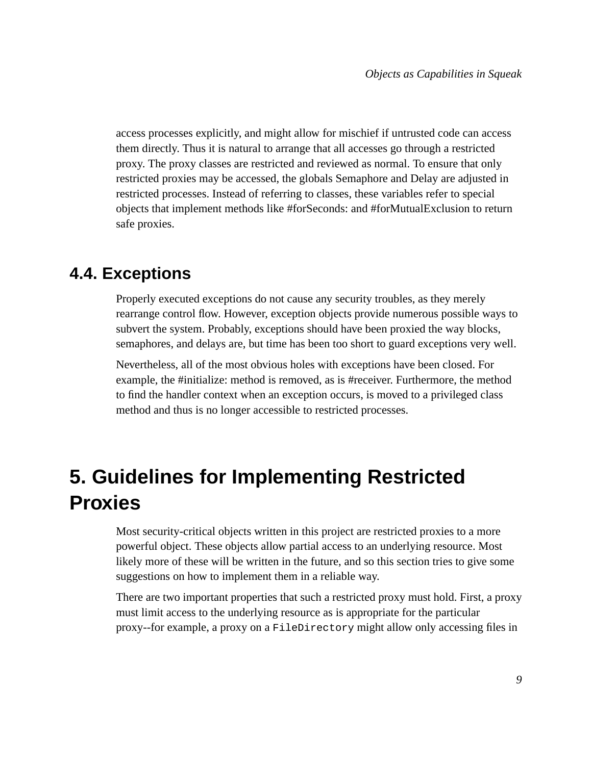access processes explicitly, and might allow for mischief if untrusted code can access them directly. Thus it is natural to arrange that all accesses go through a restricted proxy. The proxy classes are restricted and reviewed as normal. To ensure that only restricted proxies may be accessed, the globals Semaphore and Delay are adjusted in restricted processes. Instead of referring to classes, these variables refer to special objects that implement methods like #forSeconds: and #forMutualExclusion to return safe proxies.

### **4.4. Exceptions**

Properly executed exceptions do not cause any security troubles, as they merely rearrange control flow. However, exception objects provide numerous possible ways to subvert the system. Probably, exceptions should have been proxied the way blocks, semaphores, and delays are, but time has been too short to guard exceptions very well.

Nevertheless, all of the most obvious holes with exceptions have been closed. For example, the #initialize: method is removed, as is #receiver. Furthermore, the method to find the handler context when an exception occurs, is moved to a privileged class method and thus is no longer accessible to restricted processes.

## **5. Guidelines for Implementing Restricted Proxies**

Most security-critical objects written in this project are restricted proxies to a more powerful object. These objects allow partial access to an underlying resource. Most likely more of these will be written in the future, and so this section tries to give some suggestions on how to implement them in a reliable way.

There are two important properties that such a restricted proxy must hold. First, a proxy must limit access to the underlying resource as is appropriate for the particular proxy--for example, a proxy on a FileDirectory might allow only accessing files in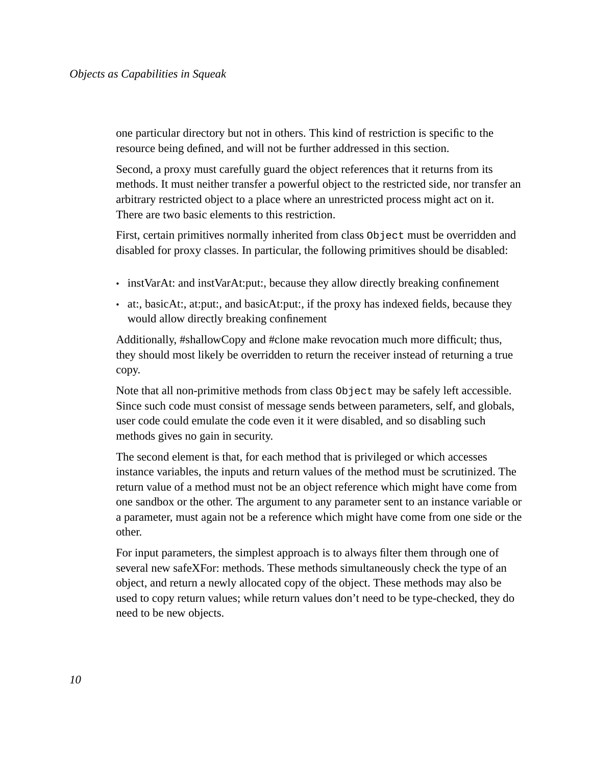one particular directory but not in others. This kind of restriction is specific to the resource being defined, and will not be further addressed in this section.

Second, a proxy must carefully guard the object references that it returns from its methods. It must neither transfer a powerful object to the restricted side, nor transfer an arbitrary restricted object to a place where an unrestricted process might act on it. There are two basic elements to this restriction.

First, certain primitives normally inherited from class object must be overridden and disabled for proxy classes. In particular, the following primitives should be disabled:

- instVarAt: and instVarAt: put:, because they allow directly breaking confinement
- at:, basicAt:, at:put:, and basicAt:put:, if the proxy has indexed fields, because they would allow directly breaking confinement

Additionally, #shallowCopy and #clone make revocation much more difficult; thus, they should most likely be overridden to return the receiver instead of returning a true copy.

Note that all non-primitive methods from class  $\circ$ b ject may be safely left accessible. Since such code must consist of message sends between parameters, self, and globals, user code could emulate the code even it it were disabled, and so disabling such methods gives no gain in security.

The second element is that, for each method that is privileged or which accesses instance variables, the inputs and return values of the method must be scrutinized. The return value of a method must not be an object reference which might have come from one sandbox or the other. The argument to any parameter sent to an instance variable or a parameter, must again not be a reference which might have come from one side or the other.

For input parameters, the simplest approach is to always filter them through one of several new safeXFor: methods. These methods simultaneously check the type of an object, and return a newly allocated copy of the object. These methods may also be used to copy return values; while return values don't need to be type-checked, they do need to be new objects.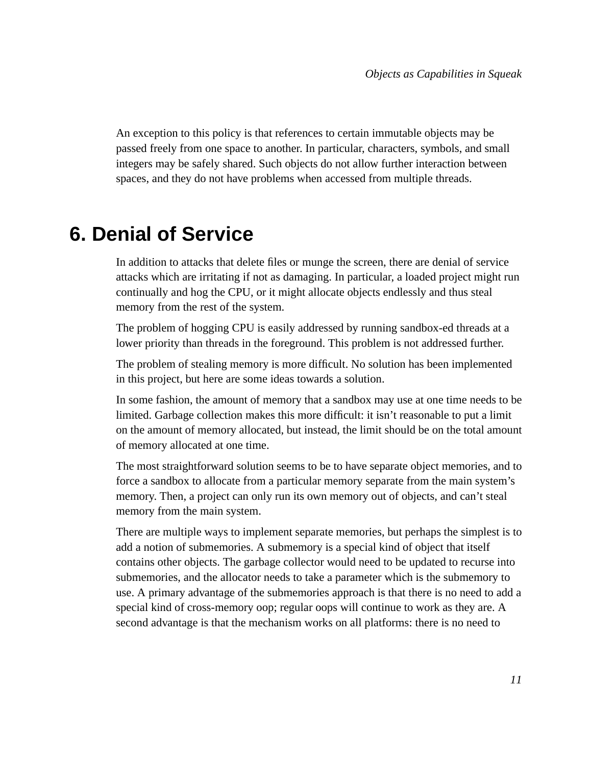An exception to this policy is that references to certain immutable objects may be passed freely from one space to another. In particular, characters, symbols, and small integers may be safely shared. Such objects do not allow further interaction between spaces, and they do not have problems when accessed from multiple threads.

## **6. Denial of Service**

In addition to attacks that delete files or munge the screen, there are denial of service attacks which are irritating if not as damaging. In particular, a loaded project might run continually and hog the CPU, or it might allocate objects endlessly and thus steal memory from the rest of the system.

The problem of hogging CPU is easily addressed by running sandbox-ed threads at a lower priority than threads in the foreground. This problem is not addressed further.

The problem of stealing memory is more difficult. No solution has been implemented in this project, but here are some ideas towards a solution.

In some fashion, the amount of memory that a sandbox may use at one time needs to be limited. Garbage collection makes this more difficult: it isn't reasonable to put a limit on the amount of memory allocated, but instead, the limit should be on the total amount of memory allocated at one time.

The most straightforward solution seems to be to have separate object memories, and to force a sandbox to allocate from a particular memory separate from the main system's memory. Then, a project can only run its own memory out of objects, and can't steal memory from the main system.

There are multiple ways to implement separate memories, but perhaps the simplest is to add a notion of submemories. A submemory is a special kind of object that itself contains other objects. The garbage collector would need to be updated to recurse into submemories, and the allocator needs to take a parameter which is the submemory to use. A primary advantage of the submemories approach is that there is no need to add a special kind of cross-memory oop; regular oops will continue to work as they are. A second advantage is that the mechanism works on all platforms: there is no need to